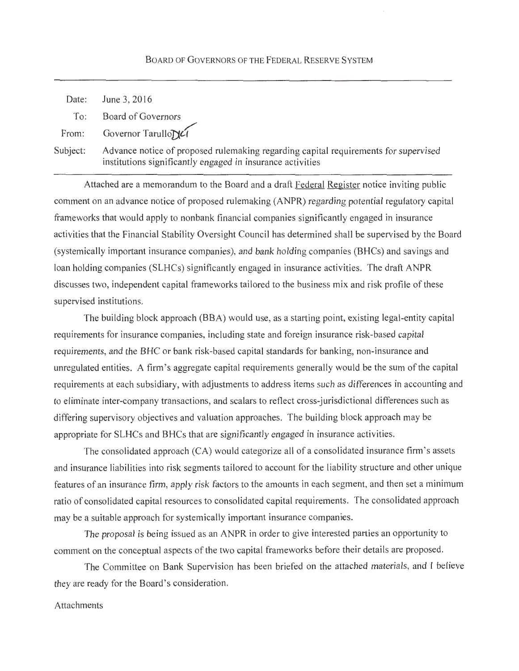## BOARD OF GOVERNORS OF THE FEDERAL RESERVE SYSTEM

| Date:    | June 3, 2016                                                                                                                                      |
|----------|---------------------------------------------------------------------------------------------------------------------------------------------------|
| To:      | Board of Governors                                                                                                                                |
|          | From: Governor Tarullo                                                                                                                            |
| Subject: | Advance notice of proposed rulemaking regarding capital requirements for supervised<br>institutions significantly engaged in insurance activities |

Attached are a memorandum to the Board and a draft Federal Register notice inviting public comment on an advance notice of proposed rulemaking (ANPR) regarding potential regulatory capital frameworks that would apply to nonbank financial companies significantly engaged in insurance activities that the Financial Stability Oversight Council has determined shall be supervised by the Board (systemically important insurance companies), and bank holding companies (BHCs) and savings and loan holding companies (SLHCs) significantly engaged in insurance activities. The draft ANPR discusses two, independent capital frameworks tailored to the business mix and risk profile of these supervised institutions.

The building block approach (BBA) would use, as a starting point, existing legal-entity capital requirements for insurance companies, including state and foreign insurance risk-based capital requirements, and the BHC or bank risk-based capital standards for banking, non-insurance and unregulated entities. A firm's aggregate capital requirements generally would be the sum of the capital requirements at each subsidiary, with adjustments to address items such as differences in accounting and to eliminate inter-company transactions, and scalars to reflect cross-jurisdictional differences such as differing supervisory objectives and valuation approaches. The building block approach may be appropriate for SLHCs and BHCs that are significantly engaged in insurance activities.

The consolidated approach (CA) would categorize all of a consolidated insurance firm's assets and insurance liabilities into risk segments tailored to account for the liability structure and other unique features of an insurance firm, apply risk factors to the amounts in each segment, and then set a minimum ratio of consolidated capital resources to consolidated capital requirements. The consolidated approach may be a suitable approach for systemically important insurance companies.

The proposal is being issued as an ANPR in order to give interested parties an opportunity to comment on the conceptual aspects of the two capital frameworks before their details are proposed.

The Committee on Bank Supervision has been briefed on the attached materials, and I believe they are ready for the Board's consideration.

#### Attachments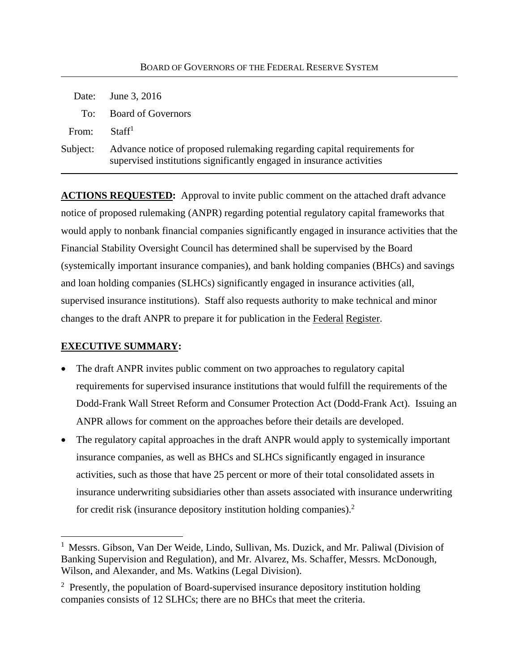|          | Date: June 3, 2016                                                                                                                                |
|----------|---------------------------------------------------------------------------------------------------------------------------------------------------|
|          | To: Board of Governors                                                                                                                            |
| From:    | Staff <sup>1</sup>                                                                                                                                |
| Subject: | Advance notice of proposed rulemaking regarding capital requirements for<br>supervised institutions significantly engaged in insurance activities |

**ACTIONS REQUESTED:** Approval to invite public comment on the attached draft advance notice of proposed rulemaking (ANPR) regarding potential regulatory capital frameworks that would apply to nonbank financial companies significantly engaged in insurance activities that the Financial Stability Oversight Council has determined shall be supervised by the Board (systemically important insurance companies), and bank holding companies (BHCs) and savings and loan holding companies (SLHCs) significantly engaged in insurance activities (all, supervised insurance institutions). Staff also requests authority to make technical and minor changes to the draft ANPR to prepare it for publication in the Federal Register.

## **EXECUTIVE SUMMARY:**

 $\overline{a}$ 

- The draft ANPR invites public comment on two approaches to regulatory capital requirements for supervised insurance institutions that would fulfill the requirements of the Dodd-Frank Wall Street Reform and Consumer Protection Act (Dodd-Frank Act). Issuing an ANPR allows for comment on the approaches before their details are developed.
- The regulatory capital approaches in the draft ANPR would apply to systemically important insurance companies, as well as BHCs and SLHCs significantly engaged in insurance activities, such as those that have 25 percent or more of their total consolidated assets in insurance underwriting subsidiaries other than assets associated with insurance underwriting for credit risk (insurance depository institution holding companies).<sup>2</sup>

<sup>&</sup>lt;sup>1</sup> Messrs. Gibson, Van Der Weide, Lindo, Sullivan, Ms. Duzick, and Mr. Paliwal (Division of Banking Supervision and Regulation), and Mr. Alvarez, Ms. Schaffer, Messrs. McDonough, Wilson, and Alexander, and Ms. Watkins (Legal Division).

<sup>&</sup>lt;sup>2</sup> Presently, the population of Board-supervised insurance depository institution holding companies consists of 12 SLHCs; there are no BHCs that meet the criteria.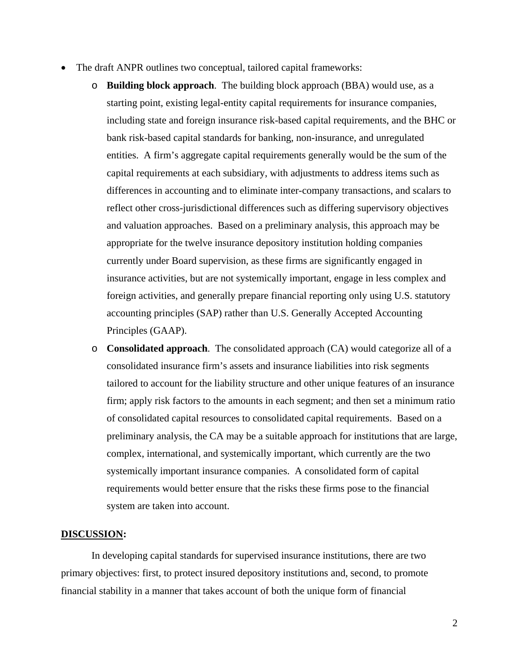- The draft ANPR outlines two conceptual, tailored capital frameworks:
	- o **Building block approach**. The building block approach (BBA) would use, as a starting point, existing legal-entity capital requirements for insurance companies, including state and foreign insurance risk-based capital requirements, and the BHC or bank risk-based capital standards for banking, non-insurance, and unregulated entities. A firm's aggregate capital requirements generally would be the sum of the capital requirements at each subsidiary, with adjustments to address items such as differences in accounting and to eliminate inter-company transactions, and scalars to reflect other cross-jurisdictional differences such as differing supervisory objectives and valuation approaches. Based on a preliminary analysis, this approach may be appropriate for the twelve insurance depository institution holding companies currently under Board supervision, as these firms are significantly engaged in insurance activities, but are not systemically important, engage in less complex and foreign activities, and generally prepare financial reporting only using U.S. statutory accounting principles (SAP) rather than U.S. Generally Accepted Accounting Principles (GAAP).
	- o **Consolidated approach**. The consolidated approach (CA) would categorize all of a consolidated insurance firm's assets and insurance liabilities into risk segments tailored to account for the liability structure and other unique features of an insurance firm; apply risk factors to the amounts in each segment; and then set a minimum ratio of consolidated capital resources to consolidated capital requirements. Based on a preliminary analysis, the CA may be a suitable approach for institutions that are large, complex, international, and systemically important, which currently are the two systemically important insurance companies. A consolidated form of capital requirements would better ensure that the risks these firms pose to the financial system are taken into account.

#### **DISCUSSION:**

In developing capital standards for supervised insurance institutions, there are two primary objectives: first, to protect insured depository institutions and, second, to promote financial stability in a manner that takes account of both the unique form of financial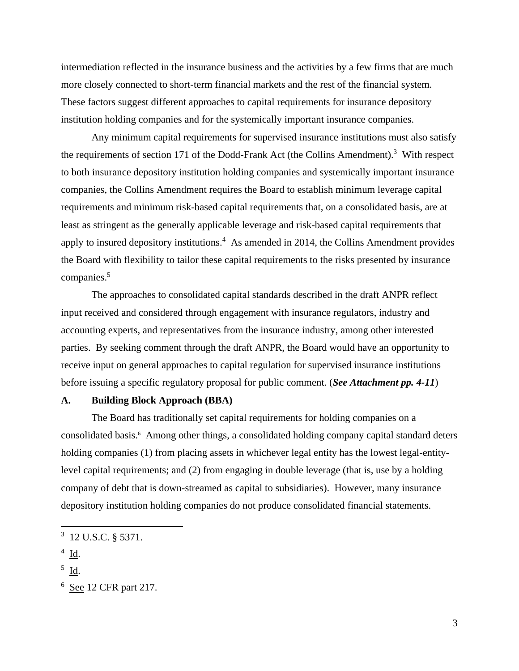intermediation reflected in the insurance business and the activities by a few firms that are much more closely connected to short-term financial markets and the rest of the financial system. These factors suggest different approaches to capital requirements for insurance depository institution holding companies and for the systemically important insurance companies.

companies.<sup>5</sup> Any minimum capital requirements for supervised insurance institutions must also satisfy the requirements of section 171 of the Dodd-Frank Act (the Collins Amendment).<sup>3</sup> With respect to both insurance depository institution holding companies and systemically important insurance companies, the Collins Amendment requires the Board to establish minimum leverage capital requirements and minimum risk-based capital requirements that, on a consolidated basis, are at least as stringent as the generally applicable leverage and risk-based capital requirements that apply to insured depository institutions.<sup>4</sup> As amended in 2014, the Collins Amendment provides the Board with flexibility to tailor these capital requirements to the risks presented by insurance

The approaches to consolidated capital standards described in the draft ANPR reflect input received and considered through engagement with insurance regulators, industry and accounting experts, and representatives from the insurance industry, among other interested parties. By seeking comment through the draft ANPR, the Board would have an opportunity to receive input on general approaches to capital regulation for supervised insurance institutions before issuing a specific regulatory proposal for public comment. (*See Attachment pp. 4-11*)

## **A. Building Block Approach (BBA)**

The Board has traditionally set capital requirements for holding companies on a consolidated basis.<sup>6</sup> Among other things, a consolidated holding company capital standard deters holding companies (1) from placing assets in whichever legal entity has the lowest legal-entitylevel capital requirements; and (2) from engaging in double leverage (that is, use by a holding company of debt that is down-streamed as capital to subsidiaries). However, many insurance depository institution holding companies do not produce consolidated financial statements.

1

<sup>3 12</sup> U.S.C. § 5371.

 $4$  Id.

 $<sup>5</sup>$  Id.</sup>

 $6$  See 12 CFR part 217.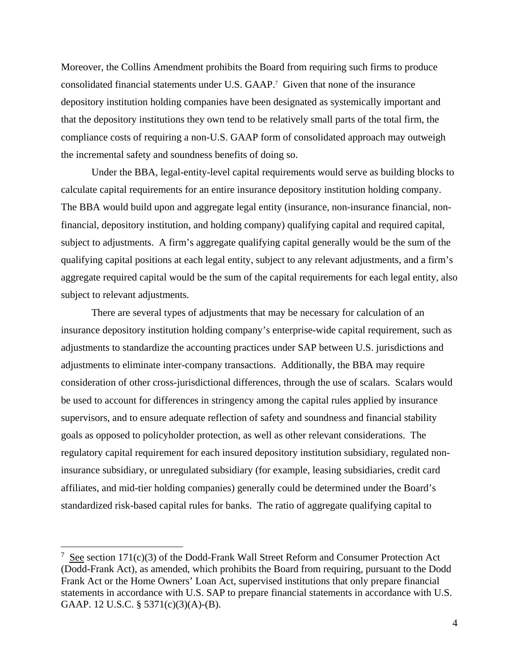Moreover, the Collins Amendment prohibits the Board from requiring such firms to produce consolidated financial statements under U.S. GAAP.7 Given that none of the insurance depository institution holding companies have been designated as systemically important and that the depository institutions they own tend to be relatively small parts of the total firm, the compliance costs of requiring a non-U.S. GAAP form of consolidated approach may outweigh the incremental safety and soundness benefits of doing so.

Under the BBA, legal-entity-level capital requirements would serve as building blocks to calculate capital requirements for an entire insurance depository institution holding company. The BBA would build upon and aggregate legal entity (insurance, non-insurance financial, nonfinancial, depository institution, and holding company) qualifying capital and required capital, subject to adjustments. A firm's aggregate qualifying capital generally would be the sum of the qualifying capital positions at each legal entity, subject to any relevant adjustments, and a firm's aggregate required capital would be the sum of the capital requirements for each legal entity, also subject to relevant adjustments.

There are several types of adjustments that may be necessary for calculation of an insurance depository institution holding company's enterprise-wide capital requirement, such as adjustments to standardize the accounting practices under SAP between U.S. jurisdictions and adjustments to eliminate inter-company transactions. Additionally, the BBA may require consideration of other cross-jurisdictional differences, through the use of scalars. Scalars would be used to account for differences in stringency among the capital rules applied by insurance supervisors, and to ensure adequate reflection of safety and soundness and financial stability goals as opposed to policyholder protection, as well as other relevant considerations. The regulatory capital requirement for each insured depository institution subsidiary, regulated noninsurance subsidiary, or unregulated subsidiary (for example, leasing subsidiaries, credit card affiliates, and mid-tier holding companies) generally could be determined under the Board's standardized risk-based capital rules for banks. The ratio of aggregate qualifying capital to

1

<sup>&</sup>lt;sup>7</sup> See section 171(c)(3) of the Dodd-Frank Wall Street Reform and Consumer Protection Act (Dodd-Frank Act), as amended, which prohibits the Board from requiring, pursuant to the Dodd Frank Act or the Home Owners' Loan Act, supervised institutions that only prepare financial statements in accordance with U.S. SAP to prepare financial statements in accordance with U.S. GAAP. 12 U.S.C. § 5371(c)(3)(A)-(B).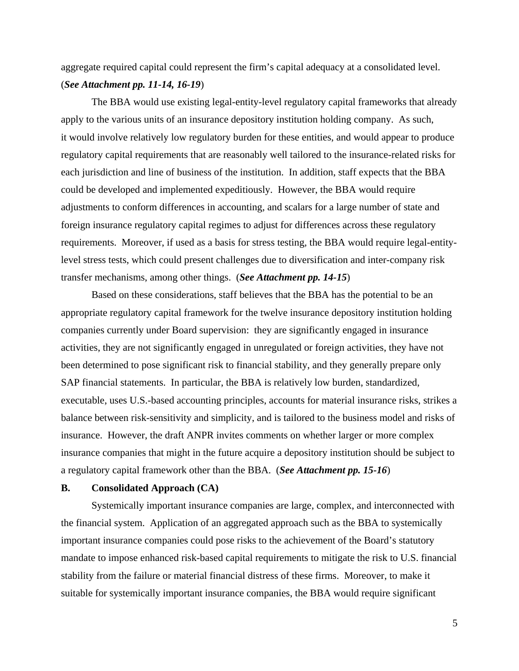aggregate required capital could represent the firm's capital adequacy at a consolidated level. (*See Attachment pp. 11-14, 16-19*)

The BBA would use existing legal-entity-level regulatory capital frameworks that already apply to the various units of an insurance depository institution holding company. As such, it would involve relatively low regulatory burden for these entities, and would appear to produce regulatory capital requirements that are reasonably well tailored to the insurance-related risks for each jurisdiction and line of business of the institution. In addition, staff expects that the BBA could be developed and implemented expeditiously. However, the BBA would require adjustments to conform differences in accounting, and scalars for a large number of state and foreign insurance regulatory capital regimes to adjust for differences across these regulatory requirements. Moreover, if used as a basis for stress testing, the BBA would require legal-entitylevel stress tests, which could present challenges due to diversification and inter-company risk transfer mechanisms, among other things. (*See Attachment pp. 14-15*)

Based on these considerations, staff believes that the BBA has the potential to be an appropriate regulatory capital framework for the twelve insurance depository institution holding companies currently under Board supervision: they are significantly engaged in insurance activities, they are not significantly engaged in unregulated or foreign activities, they have not been determined to pose significant risk to financial stability, and they generally prepare only SAP financial statements. In particular, the BBA is relatively low burden, standardized, executable, uses U.S.-based accounting principles, accounts for material insurance risks, strikes a balance between risk-sensitivity and simplicity, and is tailored to the business model and risks of insurance. However, the draft ANPR invites comments on whether larger or more complex insurance companies that might in the future acquire a depository institution should be subject to a regulatory capital framework other than the BBA. (*See Attachment pp. 15-16*)

## **B. Consolidated Approach (CA)**

Systemically important insurance companies are large, complex, and interconnected with the financial system. Application of an aggregated approach such as the BBA to systemically important insurance companies could pose risks to the achievement of the Board's statutory mandate to impose enhanced risk-based capital requirements to mitigate the risk to U.S. financial stability from the failure or material financial distress of these firms. Moreover, to make it suitable for systemically important insurance companies, the BBA would require significant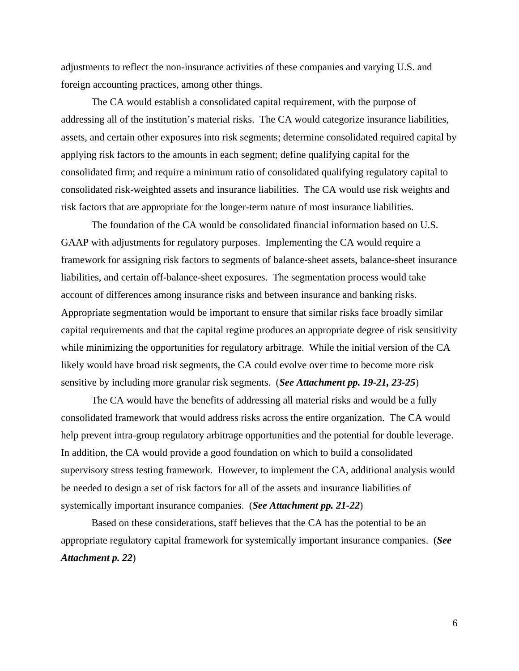foreign accounting practices, among other things. adjustments to reflect the non-insurance activities of these companies and varying U.S. and

The CA would establish a consolidated capital requirement, with the purpose of addressing all of the institution's material risks. The CA would categorize insurance liabilities, assets, and certain other exposures into risk segments; determine consolidated required capital by applying risk factors to the amounts in each segment; define qualifying capital for the consolidated firm; and require a minimum ratio of consolidated qualifying regulatory capital to consolidated risk-weighted assets and insurance liabilities. The CA would use risk weights and risk factors that are appropriate for the longer-term nature of most insurance liabilities.

The foundation of the CA would be consolidated financial information based on U.S. GAAP with adjustments for regulatory purposes. Implementing the CA would require a framework for assigning risk factors to segments of balance-sheet assets, balance-sheet insurance liabilities, and certain off-balance-sheet exposures. The segmentation process would take account of differences among insurance risks and between insurance and banking risks. Appropriate segmentation would be important to ensure that similar risks face broadly similar capital requirements and that the capital regime produces an appropriate degree of risk sensitivity while minimizing the opportunities for regulatory arbitrage. While the initial version of the CA likely would have broad risk segments, the CA could evolve over time to become more risk sensitive by including more granular risk segments. (*See Attachment pp. 19-21, 23-25*)

The CA would have the benefits of addressing all material risks and would be a fully consolidated framework that would address risks across the entire organization. The CA would help prevent intra-group regulatory arbitrage opportunities and the potential for double leverage. In addition, the CA would provide a good foundation on which to build a consolidated supervisory stress testing framework. However, to implement the CA, additional analysis would be needed to design a set of risk factors for all of the assets and insurance liabilities of systemically important insurance companies. (*See Attachment pp. 21-22*)

Based on these considerations, staff believes that the CA has the potential to be an appropriate regulatory capital framework for systemically important insurance companies. (*See Attachment p. 22*)